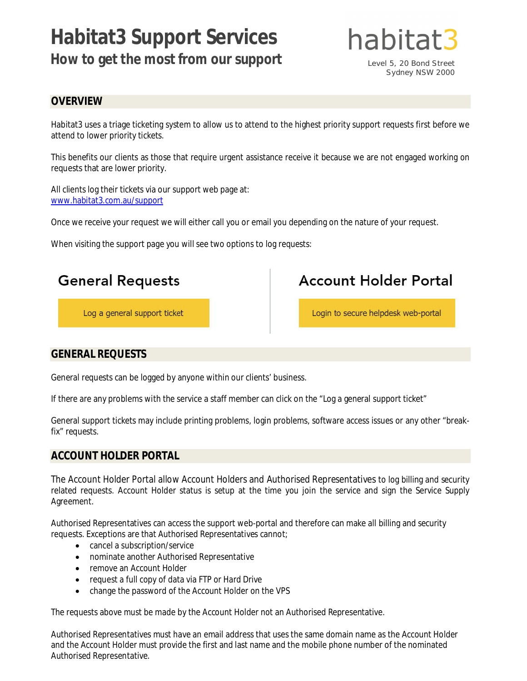# **Habitat3 Support Services How to get the most from our support**



Level 5, 20 Bond Street Sydney NSW 2000

# **OVERVIEW**

Habitat3 uses a triage ticketing system to allow us to attend to the highest priority support requests first before we attend to lower priority tickets.

This benefits our clients as those that require urgent assistance receive it because we are not engaged working on requests that are lower priority.

All clients log their tickets via our support web page at: www.habitat3.com.au/support

Once we receive your request we will either call you or email you depending on the nature of your request.

When visiting the support page you will see two options to log requests:



# **GENERAL REQUESTS**

General requests can be logged by anyone within our clients' business.

If there are any problems with the service a staff member can click on the "Log a general support ticket"

General support tickets may include printing problems, login problems, software access issues or any other "breakfix" requests.

# **ACCOUNT HOLDER PORTAL**

The Account Holder Portal allow Account Holders and Authorised Representatives to log billing and security related requests. Account Holder status is setup at the time you join the service and sign the Service Supply Agreement.

Authorised Representatives can access the support web-portal and therefore can make all billing and security requests. Exceptions are that Authorised Representatives cannot;

- cancel a subscription/service
- nominate another Authorised Representative
- remove an Account Holder
- request a full copy of data via FTP or Hard Drive
- change the password of the Account Holder on the VPS

The requests above must be made by the Account Holder not an Authorised Representative.

Authorised Representatives must have an email address that uses the same domain name as the Account Holder and the Account Holder must provide the first and last name and the mobile phone number of the nominated Authorised Representative.